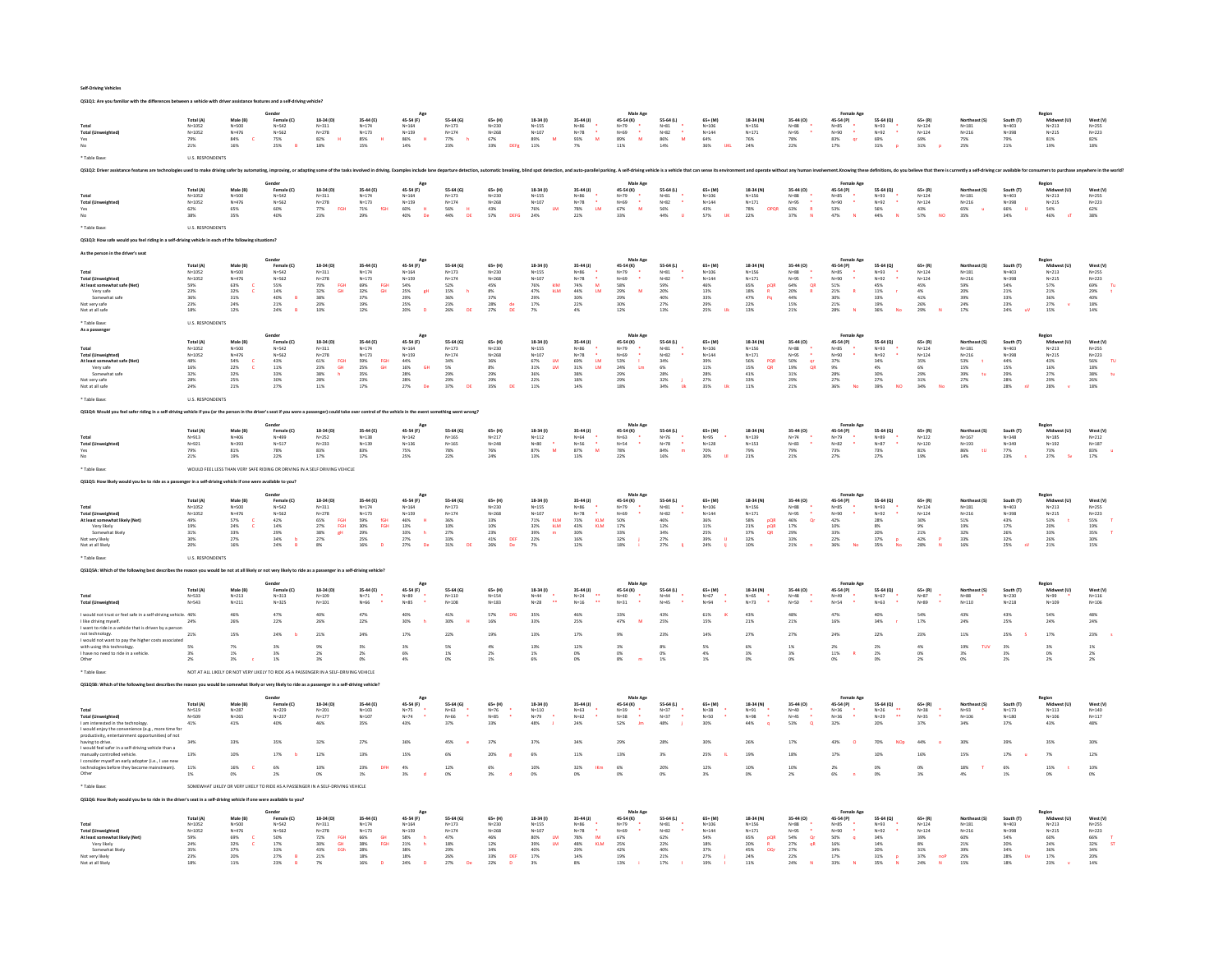| Self-Driving Vehicles |
|-----------------------|
|-----------------------|

| ith the differences between a vehicle with driver assistance features and a self-driving                                                                                                                  |                                                                                                                                                                                                                                                                                                                                |                                                                                               |                                                                                                                |                                                                                                         |                                                                                                |                                                                                                        |                                                                                                            |                                                                                                                |                                                                                                     |                                                                                                                                    |                                                                               |                                                                                        |                                                                                           |                                                                                                                                             |                                                                                                                                                                    |                                                                                                            |                                                                                                                            |                                                                                        |                                                                                  |                                                                               |                                                                                                             |                                                                                       |
|-----------------------------------------------------------------------------------------------------------------------------------------------------------------------------------------------------------|--------------------------------------------------------------------------------------------------------------------------------------------------------------------------------------------------------------------------------------------------------------------------------------------------------------------------------|-----------------------------------------------------------------------------------------------|----------------------------------------------------------------------------------------------------------------|---------------------------------------------------------------------------------------------------------|------------------------------------------------------------------------------------------------|--------------------------------------------------------------------------------------------------------|------------------------------------------------------------------------------------------------------------|----------------------------------------------------------------------------------------------------------------|-----------------------------------------------------------------------------------------------------|------------------------------------------------------------------------------------------------------------------------------------|-------------------------------------------------------------------------------|----------------------------------------------------------------------------------------|-------------------------------------------------------------------------------------------|---------------------------------------------------------------------------------------------------------------------------------------------|--------------------------------------------------------------------------------------------------------------------------------------------------------------------|------------------------------------------------------------------------------------------------------------|----------------------------------------------------------------------------------------------------------------------------|----------------------------------------------------------------------------------------|----------------------------------------------------------------------------------|-------------------------------------------------------------------------------|-------------------------------------------------------------------------------------------------------------|---------------------------------------------------------------------------------------|
| Total (L<br>Yes<br>No                                                                                                                                                                                     | Total (A)<br>$N = 1052$<br>$N = 1052$<br>79%<br>21%                                                                                                                                                                                                                                                                            | Male (B)<br>$N = 500$<br>$N = 476$<br>84%<br>$\mathbf{c}$<br>16%                              | Gende<br>Female (C)<br>$N = 542$<br>$N = 562$<br>75%<br>25%<br>R                                               | 18-34 (D)<br>$N = 311$<br>$N = 278$<br>82%<br>$\mathbf{H}$<br>18%                                       | 35-44 (E)<br>$N = 174$<br>$N = 173$<br>$\mathbf{H}$<br>85%<br>15%                              | Age<br>45-54 (F)<br>$N = 164$<br>$N = 159$<br>86%<br>H.<br>14%                                         | 55-64 (G)<br>$N = 173$<br>$N = 174$<br>77%<br>h<br>23%                                                     | $65 + (H)$<br>$N = 230$<br>$N = 268$<br>67%<br>33%<br>DEFe                                                     | 18-34 (I)<br>$N = 155$<br>$N = 107$<br>M<br>89%<br>11%                                              | 35-44 (J)<br>$N = 86$<br>$N = 78$<br>$\sim$<br>M<br>93%                                                                            | Male Ap<br>45-54 (K)<br>N=79<br>N=69<br>89%<br>M<br>11%                       | 55-64 (L)<br>$\frac{\mathsf{N}=81}{\mathsf{N}=82}$<br>$\sim$<br>M<br>86%<br>14%        | 65+ (M)<br>$N = 106$<br>$N = 144$<br>64%<br>36%<br><b>UKL</b>                             | 18-34 (N)<br>$N = 156$<br>$N = 171$<br>76%<br>24%                                                                                           | 35-44 (0)<br>$N = 88$<br>$N = 95$<br>78%<br>22%                                                                                                                    | Female Age<br>45-54 (P)<br>$N=85$<br>$N=90$<br>$83%$<br><b>gr</b><br>17%                                   | 55-64 (Q)<br>$N=93$<br>$N=92$<br>69%<br>31%<br>$\mathbf{p}$                                                                | $65 + (R)$<br>$N = 124$<br>$N = 124$<br>69%<br>31%<br>$\overline{p}$                   | Northeast (S)<br>$N = 181$<br>$N = 216$<br>75%<br>25%                            | South (T)<br>$N = 403$<br>N=398<br>79%<br>21%                                 | Region<br>Midwest (U)<br>$N = 213$<br>$N = 215$<br>81%<br>19%                                               | West (V)<br>$N = 255$<br>$N = 223$<br>82%<br>18%                                      |
|                                                                                                                                                                                                           |                                                                                                                                                                                                                                                                                                                                |                                                                                               |                                                                                                                |                                                                                                         |                                                                                                |                                                                                                        |                                                                                                            |                                                                                                                |                                                                                                     | 7%                                                                                                                                 |                                                                               |                                                                                        |                                                                                           |                                                                                                                                             |                                                                                                                                                                    |                                                                                                            |                                                                                                                            |                                                                                        |                                                                                  |                                                                               |                                                                                                             |                                                                                       |
|                                                                                                                                                                                                           | <b>U.S. RESPONDENTS</b>                                                                                                                                                                                                                                                                                                        |                                                                                               |                                                                                                                |                                                                                                         |                                                                                                |                                                                                                        |                                                                                                            |                                                                                                                |                                                                                                     |                                                                                                                                    |                                                                               |                                                                                        |                                                                                           |                                                                                                                                             |                                                                                                                                                                    |                                                                                                            |                                                                                                                            |                                                                                        |                                                                                  |                                                                               |                                                                                                             |                                                                                       |
|                                                                                                                                                                                                           | Gende<br>Female Age<br>Male Are<br>Regio                                                                                                                                                                                                                                                                                       |                                                                                               |                                                                                                                |                                                                                                         |                                                                                                |                                                                                                        |                                                                                                            |                                                                                                                |                                                                                                     |                                                                                                                                    |                                                                               |                                                                                        |                                                                                           |                                                                                                                                             |                                                                                                                                                                    |                                                                                                            |                                                                                                                            |                                                                                        |                                                                                  |                                                                               |                                                                                                             |                                                                                       |
| Total<br><b>Total (Unv</b><br>Yes<br>No                                                                                                                                                                   | Total (A)<br>$N = 1052$<br>$N = 1052$<br>62%<br>38%                                                                                                                                                                                                                                                                            | Male (B)<br>$N = 500$<br>$N = 476$<br>65%<br>35%                                              | Female (C)<br>$N = 542$<br>$N = 562$<br>60%<br>40%                                                             | 18-34 (D)<br>$N = 311$<br>$N = 278$<br>FGH<br>77%<br>23%                                                | 35-44 (E)<br>$N = 174$<br>$N = 173$<br>fGH<br>$\frac{71\%}{29\%}$                              | 45-54 (F)<br>$N = 164$<br>$N = 159$<br>$\frac{60\%}{40\%}$<br>H                                        | 55-64 (G)<br>$N = 173$<br>$N = 174$<br>56%<br>44%<br>DE                                                    | 65+ (H)<br>$N = 230$<br>$N = 268$<br>43%<br>57%                                                                | $18-34(1)$<br>$N = 155$<br>$N = 107$<br><b>LM</b><br>76%<br>24%                                     | 35-44 (J)<br>$N=86$<br>$N=78$<br>$\sim$<br><b>LM</b><br>78%<br>22%                                                                 | 45-54 (K)<br>$N = 79$<br>$N = 69$<br>$\sim$<br>67%<br>M<br>33%                | 55-64 (L)<br>$N = 81$<br>$N=82$<br>$\mathcal{A}$<br>56%<br>44%                         | 65+ (M)<br>$N = 106$<br>$N = 144$<br>43%<br>57%                                           | 18-34 (N)<br>$N = 156$<br>$N = 171$<br>78%<br>22%<br>OPOR                                                                                   | 35-44 (0)<br>$N=88$<br>$N=95$<br>$\sim$<br>63%<br>R<br>37%                                                                                                         | 45-54 (P)<br>$N=85$<br>$N = 90$<br>$\sim$<br>53%<br>47%                                                    | 55-64 (Q)<br>$N=93$<br>$N=92$<br>$\sim$<br>56%<br>44%                                                                      | $65 + (R)$<br>$N = 124$<br>$N=124$<br>43%<br>57%<br>NO                                 | Vortheast (S)<br>$N = 181$<br>$N = 216$<br>65%<br>$\alpha$<br>35%                | South (T)<br>$N = 403$<br>$N=398$<br>66%<br><b>U</b><br>34%                   | Midwest (U)<br>$N = 213$<br>$N = 215$<br>54%<br>46%                                                         | West (V)<br>$N = 255$<br>$N = 223$<br>62%<br>38%                                      |
| Table Base                                                                                                                                                                                                | <b>U.S. RESPONDENTS</b>                                                                                                                                                                                                                                                                                                        |                                                                                               |                                                                                                                |                                                                                                         |                                                                                                |                                                                                                        |                                                                                                            |                                                                                                                |                                                                                                     |                                                                                                                                    |                                                                               |                                                                                        |                                                                                           |                                                                                                                                             |                                                                                                                                                                    |                                                                                                            |                                                                                                                            |                                                                                        |                                                                                  |                                                                               |                                                                                                             |                                                                                       |
| feel riding in a self-driving vehicle in each of the following si                                                                                                                                         |                                                                                                                                                                                                                                                                                                                                |                                                                                               |                                                                                                                |                                                                                                         |                                                                                                |                                                                                                        |                                                                                                            |                                                                                                                |                                                                                                     |                                                                                                                                    |                                                                               |                                                                                        |                                                                                           |                                                                                                                                             |                                                                                                                                                                    |                                                                                                            |                                                                                                                            |                                                                                        |                                                                                  |                                                                               |                                                                                                             |                                                                                       |
| Gender<br>Male Age<br><b>Female Ago</b><br>Region<br>App                                                                                                                                                  |                                                                                                                                                                                                                                                                                                                                |                                                                                               |                                                                                                                |                                                                                                         |                                                                                                |                                                                                                        |                                                                                                            |                                                                                                                |                                                                                                     |                                                                                                                                    |                                                                               |                                                                                        |                                                                                           |                                                                                                                                             |                                                                                                                                                                    |                                                                                                            |                                                                                                                            |                                                                                        |                                                                                  |                                                                               |                                                                                                             |                                                                                       |
| Total<br><b>Total (Unweighted)</b><br>At least somewhat safe (Net)<br>Very safe<br>Somewhat safe<br>Not very safe<br>Not at all safe<br>Table Base                                                        | Total (A)<br>$N = 1052$<br>$N = 1052$<br>59%<br>23%<br>36%<br>23%<br>18%<br><b>U.S. RESPONDENTS</b>                                                                                                                                                                                                                            | Male (B)<br>$N = 500$<br>$N = 476$<br>$\frac{63\%}{32\%}$<br><b>c</b><br>$31\%$<br>24%<br>12% | Female (C)<br>$N = 542$<br>$N = 562$<br>$\frac{55\%}{14\%}$<br>40%<br>21%<br>24%                               | 18-34 (D)<br>$N = 311$<br>$N=278$<br>FGH<br>70%<br>32%<br><b>GH</b><br>38%<br>20%<br>10%                | 35-44 (E)<br>$N = 174$<br>$N = 173$<br>FGH<br>GH<br>69%<br>32%<br>37%<br>19%<br>12%            | 45-54 (F)<br>$N = 164$<br>$N = 159$<br>54%<br>25%<br>29%<br>gH<br>25%<br>20%<br>$\mathbf{D}$           | 55-64 (G)<br>$N = 173$<br>$N = 174$<br>52%<br>15%<br>h<br>36%<br>$\substack{23\% \\ 26\%}$<br>DE           | $65+$ (H)<br>$N = 230$<br>$N = 268$<br>45%<br>8%<br>37%<br>28%<br>27%<br>$\frac{\text{d} \text{e}}{\text{DE}}$ | $18-34(1)$<br>$N = 155$<br>$N = 107$<br>kiM<br>76%<br>47%<br>kLM<br>29%<br>17%<br>7%                | 35-44 (J)<br>$N = 86$<br>$N = 78$<br>$\bullet$<br>${\bf M}$<br>$^{74\%}_{44\%}$<br><b>LM</b><br>$30\%$<br>22%<br>$4\%$             | 45-54 (K)<br>$N=79$<br>$N=69$<br>58%<br>29%<br>29%<br>M<br>30%<br>12%         | 55-64 (L)<br>$N = 81$<br>$N=82$<br>59%<br>20%<br>40%<br>27%<br>13%                     | $65 + (M)$<br>$N = 106$<br>$N = 144$<br>46%<br>13%<br>$33\%$<br>29%<br>25%<br>$_{\rm IR}$ | 18-34 (N)<br>$N = 156$<br>$N = 171$<br>65%<br>18%<br>47%<br>$\frac{pQR}{R}$<br>$\mathsf{Pq}$<br>$\begin{array}{l} 22\% \\ 13\% \end{array}$ | 35-44 (0)<br>$N = 88$<br>$N=95$<br>64%<br>20%<br>44%<br>$\frac{\mathsf{QR}}{\mathsf{R}}$<br>15%<br>21%                                                             | 45-54 (P)<br>$N = 85$<br>$N = 90$<br>$\frac{51\%}{21\%}$<br>R<br>30%<br>21%<br>28%                         | 55-64 (0)<br>$N = 93$<br>$N = 92$<br>45%<br>11%<br><b>COL</b><br>33%<br>19%<br>36%<br>No                                   | $65 + (R)$<br>$N = 124$<br>$N = 124$<br>45%<br>4%<br>$41\%$<br>26%<br>29%<br>$\bar{N}$ | $N = 181$<br>$N = 216$<br>59%<br>20%<br>39%<br>24%<br>17%                        | South (T)<br>$N = 403$<br>$N = 398$<br>54%<br>21%<br>33%<br>23%<br>$24\%$     | Mid<br>et (U)<br>$N = 213$<br>$N = 215$<br>57%<br>21%<br>36%<br>$\begin{array}{l} 27\% \\ 15\% \end{array}$ | West $(V)$<br>$N = 255$<br>$N = 223$<br>Tu<br>69%<br>29%<br>40%<br>48%<br>18%<br>×    |
| As a passenger                                                                                                                                                                                            | Male Age<br>Region<br>Midwest (U)<br>Age<br>Female (C)<br>18-34 (D)<br>35-44 (E)<br>45-54 (F)<br>55-64 (G)<br>18-34 (1)<br>35-44 (J)<br>45-54 (K)<br>55-64 (L)<br>18-34 (N)<br>35-44 (0)<br>55-64 (Q)<br>Total (A)<br>Male (B)<br>$65+ (H)$<br>$65 + (M)$<br>45-54 (P)<br>$65 + (R)$<br>Northeast (S)<br>South (T)<br>West (V) |                                                                                               |                                                                                                                |                                                                                                         |                                                                                                |                                                                                                        |                                                                                                            |                                                                                                                |                                                                                                     |                                                                                                                                    |                                                                               |                                                                                        |                                                                                           |                                                                                                                                             |                                                                                                                                                                    |                                                                                                            |                                                                                                                            |                                                                                        |                                                                                  |                                                                               |                                                                                                             |                                                                                       |
| Total<br><b>Total (Unweighted)</b><br>At least somewhat safe (N<br>Very safe<br>Somewhat safe<br>lot very safe<br>Not at all safe<br>Table Base                                                           | $N = 1052$<br>$N = 1052$<br>$\frac{48\%}{16\%}$<br>32%<br>28%<br>24%<br><b>U.S. RESPONDENTS</b>                                                                                                                                                                                                                                | $N = 500$<br>$N = 476$<br>54%<br>22%<br>$\mathbf{c}$<br>$32\%$<br>25%<br>21%                  | $N = 542$<br>$N = 562$<br>$43\%$<br>11%<br>33%<br>30%<br>27%                                                   | $N = 311$<br>$N = 278$<br>$61\%$ 23%<br>FGH<br>GH<br>38%<br>28%<br>11%                                  | $N = 174$<br>$N = 173$<br>59%<br>25%<br>35%<br>23%<br>FGH<br>GH<br>17%                         | $N = 164$<br>$N = 159$<br>$\begin{array}{l} 44\% \\ 16\% \end{array}$<br>GH<br>28%<br>28%<br>27%<br>De | $N = 173$<br>$N = 174$<br>34%<br>5%<br><b>29%</b><br>29%<br>37%<br>DE                                      | $N = 230$<br>$N = 268$<br>36%<br>8%<br>29%<br>29%<br>35%<br><b>DF</b>                                          | $N=155$<br>$N = 107$<br>$67\%$<br>$31\%$<br>$\frac{\text{LM}}{\text{LM}}$<br>36%<br>22%<br>11%      | $N=86$<br>$N=78$<br>69%<br>31%<br>$\frac{LM}{LM}$<br>38%<br>18%<br>14%                                                             | $N = 79$<br>$N = 69$<br>$53\%$ 24%<br>$\mathbf{1}$<br>Lm<br>29%<br>29%<br>18% | $N = 81$<br>$N=82$<br>34%<br>6%<br><b>28%</b><br>32%<br>34%                            | $N = 106$<br>$N = 144$<br>39%<br>11%<br>28%<br>27%<br>35%<br><b>TIR</b>                   | $N = 156$<br>$N = 171$<br>$56\%$<br>$15\%$<br>PQR<br>QR<br>$41\%$<br>33%<br>11%                                                             | $N=88$<br>$N=95$<br>50%<br>19%<br>$\frac{\mathsf{q}\mathsf{r}}{\mathsf{Q}\mathsf{R}}$<br>$31\%$<br>29%<br>21%                                                      | N=85<br>$N = 90$<br>37%<br>9%<br>28%<br>27%<br>36%<br>N <sub>c</sub>                                       | N=93<br>N=92<br>34%<br>$4\%$<br>30%<br>27%<br>39%<br><b>NO</b>                                                             | $N = 124$<br>$N = 124$<br>$35\%$<br>6%<br>$29\%$<br>31%<br>34%                         | $\texttt{N=181}$<br>$N = 216$<br>$53\%$ 15%<br>39%<br>27%<br>tu<br>19%           | $N = 403$<br>$N = 398$<br>44%<br>15%<br>29%<br>28%<br>28%                     | $N = 213$<br>$N = 215$<br>43%<br>16%<br>27%<br>29%<br>28%                                                   | $N=255$<br>$N = 223$<br>56%<br>18%<br>TU<br>38%<br>26%<br><b>tu</b><br>18%            |
|                                                                                                                                                                                                           |                                                                                                                                                                                                                                                                                                                                |                                                                                               |                                                                                                                |                                                                                                         |                                                                                                |                                                                                                        |                                                                                                            |                                                                                                                |                                                                                                     |                                                                                                                                    |                                                                               |                                                                                        |                                                                                           |                                                                                                                                             |                                                                                                                                                                    |                                                                                                            |                                                                                                                            |                                                                                        |                                                                                  |                                                                               |                                                                                                             |                                                                                       |
| feel safer riding in a self-driving vehicle if you (or the person in the driver's seat if you were a passenger) could take over control of the vehicle in the event so<br>Total<br><b>Total (Unweight</b> | Total (A)<br>$N = 913$<br>$N = 921$                                                                                                                                                                                                                                                                                            | Male (B)<br>$N = 406$<br>$N = 393$                                                            | Gende<br>Female (C)<br>$N = 499$<br>$N = 517$                                                                  | 18-34 (D)<br>$N = 252$<br>$N = 233$                                                                     | 35-44 (E)<br>$N = 138$<br>$N = 139$                                                            | 45-54 (F)<br>$N = 142$<br>$N = 136$                                                                    | mething went wrong?<br>55-64 (G)<br>$N = 165$<br>$N = 165$                                                 | 65+ (H)<br>$N = 217$<br>$N = 248$                                                                              | 18-34 (I)<br>$N = 112$<br>$N = 80$<br>87%<br>$\frac{1}{M}$                                          | 35-44 (J)<br>$N=64$<br>$N=56$<br>87%<br>$\frac{1}{M}$                                                                              | Male Ap<br>45-54 (K)<br>$N = 63$<br>$N = 54$<br>$\ddot{\phantom{1}}$          | 55-64 (L)<br>$N=76$<br>$N = 78$<br>84%<br>$\bullet$                                    | 65+ (M)<br>$N = 95$<br>$\mathsf{N}{=}128$                                                 | 18-34 (N)<br>$N = 139$<br>$N = 153$                                                                                                         | 35-44 (0)<br>$N=74$<br>$_{\mathsf{N=83}}$<br>÷.                                                                                                                    | Female Age<br>45-54 (P)<br>$N=79$<br>$_{\mathsf{N=82}}$<br>$\sim$                                          | 55-64 (Q)<br>$N = 89$<br>$N=87$                                                                                            | $65 + (R)$<br>$N = 122$<br>$N = 120$                                                   | Northeast (S)<br>$N = 167$<br>$N = 193$                                          | South (T)<br>$N = 348$<br>$N=349$<br>$77%$                                    | Region<br>Midwest (U)<br>$N = 185$<br>$N = 192$                                                             | West (V)<br>$N = 212$                                                                 |
| Yes                                                                                                                                                                                                       | 79%<br>$21\%$                                                                                                                                                                                                                                                                                                                  | 81%<br>19%                                                                                    | 78%<br>22%                                                                                                     | 83%<br>17%                                                                                              | 83%<br>17%                                                                                     | 75%<br>25%                                                                                             | 78%<br>22%                                                                                                 | 76%<br>24%                                                                                                     | 13%                                                                                                 | 13%                                                                                                                                | 78%<br>22%                                                                    | m<br>16%                                                                               | 70%<br>30%                                                                                | 79%<br>21%                                                                                                                                  | 79%<br>21%                                                                                                                                                         | 73%<br>27%                                                                                                 | 73%<br>27%                                                                                                                 | 81%<br>19%                                                                             | tU<br>86%<br>14%                                                                 | 23%                                                                           | 73%<br>27%<br><b>Sec</b>                                                                                    | $N=187$<br>83%<br>17%<br>- u                                                          |
|                                                                                                                                                                                                           |                                                                                                                                                                                                                                                                                                                                |                                                                                               |                                                                                                                |                                                                                                         |                                                                                                |                                                                                                        |                                                                                                            |                                                                                                                |                                                                                                     |                                                                                                                                    |                                                                               |                                                                                        |                                                                                           |                                                                                                                                             |                                                                                                                                                                    |                                                                                                            |                                                                                                                            |                                                                                        |                                                                                  |                                                                               |                                                                                                             |                                                                                       |
| WOULD FEEL LESS THAN VERY SAFE RIDING OR DRIVING IN A SELF DRIVING VEHICLE                                                                                                                                |                                                                                                                                                                                                                                                                                                                                |                                                                                               |                                                                                                                |                                                                                                         |                                                                                                |                                                                                                        |                                                                                                            |                                                                                                                |                                                                                                     |                                                                                                                                    |                                                                               |                                                                                        |                                                                                           |                                                                                                                                             |                                                                                                                                                                    |                                                                                                            |                                                                                                                            |                                                                                        |                                                                                  |                                                                               |                                                                                                             |                                                                                       |
| Male Age                                                                                                                                                                                                  |                                                                                                                                                                                                                                                                                                                                |                                                                                               |                                                                                                                |                                                                                                         |                                                                                                |                                                                                                        |                                                                                                            |                                                                                                                |                                                                                                     |                                                                                                                                    |                                                                               |                                                                                        |                                                                                           |                                                                                                                                             |                                                                                                                                                                    |                                                                                                            |                                                                                                                            |                                                                                        |                                                                                  |                                                                               |                                                                                                             |                                                                                       |
| Total<br><b>Total (Unweighted)</b><br>At least somewhat likely (Net)<br>Very likely<br>Somewhat likely<br>ot very likely<br>Not at all likely                                                             | Total (A)<br>$N = 1052$<br>$N = 1052$<br>49%<br>19%<br>31%<br>30%<br>20%                                                                                                                                                                                                                                                       | Male (B)<br>$N = 500$<br>$N = 476$<br>57%<br>24%<br>$\epsilon$<br>33%<br>$27\%$<br>16%        | Female (C)<br>$N = 542$<br>$N = 562$<br>42%<br>$14\%$<br>29%<br>$34\%$<br>24%                                  | 18-34 (D)<br>$N = 311$<br>$N = 278$<br>65%<br>27%<br>38%<br>27%<br>FGH<br>FGH<br>gH<br>8%               | 35-44 (E)<br>$N = 174$<br>$N = 173$<br>59%<br>30%<br>29%<br>25%<br>fGH<br>FGH<br>16%<br>$\sim$ | 45-54 (F)<br>$N = 164$<br>$N=159$<br>$\frac{46\%}{13\%}$<br>H<br>33%<br>27%<br>h<br>De<br>27%          | 55-64 (G)<br>$N = 173$<br>$N = 174$<br>36%<br>$10\%$<br>27%<br>33%<br>31%<br>DE                            | $65+ (H)$<br>$N = 230$<br>$N = 268$<br>33%<br>$10\%$<br>23%<br>$41\%$<br>DEF<br>26%<br>De                      | 18-34 (I)<br>$N=155$<br>$N = 107$<br>71%<br>KLM<br>klm<br>32%<br>39%<br>22%<br>$\blacksquare$<br>7% | 35-44 (J)<br>$N=86$<br>$N=78$<br>$\mathcal{L}$<br>$\begin{array}{r} 73\% \\ 43\% \\ 30\% \\ 16\% \end{array}$<br>KLM<br>KLM<br>12% | 45-54 (K)<br>$N=79$<br>$N=69$<br>$50\%$ 17%<br>33%<br>$32\%$<br>18%           | 55-64 (L)<br>$N = 81$<br>$N=82$<br>46%<br>$12\%$<br>34%<br>27%<br>27%                  | $65 + (M)$<br>$N = 106$<br>$N = 144$<br>36%<br>$11\%$<br>25%<br>$39\%$<br>24%             | 18-34 (N)<br>$N = 156$<br>$N = 171$<br>58%<br>21%<br>37%<br>32%<br>pQR<br>pQR<br>QR<br>10%                                                  | 35-44 (0)<br>$N = 88$<br>$N = 95$<br>$\Delta$<br>46%<br>Qr<br>$17\%$<br>29%<br>33%<br>21%                                                                          | 45-54 (P)<br>$N=85$<br>$N = 90$<br>42%<br>10%<br>33%<br>$22\%$<br>36%<br>$\overline{\phantom{a}}$          | 55-64 (Q)<br>N=93<br>N=92<br>28%<br>$8\%$<br>20%<br>37%<br>p<br>35%<br>Men                                                 | $65 + (R)$<br>$N = 124$<br>$N = 124$<br>30%<br>9%<br>21%<br>$42\%$<br>28%              | Northeast (S)<br>$N = 181$<br>$N = 216$<br>$51\%$<br>19%<br>32%<br>$33\%$<br>16% | South (T)<br>$N=403$<br>N=398<br>43%<br>$17\%$<br>26%<br>32%<br>25%           | Region<br>Midwest (U)<br>$N = 213$<br>$N = 215$<br>53%<br>20%<br>33%<br>26%<br>21%                          | West (V)<br>$N = 255$<br>$N = 223$<br>55%<br>19%<br>35%<br>30%<br>15%                 |
| Table Base:                                                                                                                                                                                               | <b>U.S. RESPONDENTS</b>                                                                                                                                                                                                                                                                                                        |                                                                                               |                                                                                                                |                                                                                                         |                                                                                                |                                                                                                        |                                                                                                            |                                                                                                                |                                                                                                     |                                                                                                                                    |                                                                               |                                                                                        |                                                                                           |                                                                                                                                             |                                                                                                                                                                    |                                                                                                            |                                                                                                                            |                                                                                        |                                                                                  |                                                                               |                                                                                                             |                                                                                       |
| 251Q5A: Which of the following best describes the reason you would be not at all likely or not very likely to ride as a passenger in a self-driving vehicle?                                              |                                                                                                                                                                                                                                                                                                                                |                                                                                               |                                                                                                                |                                                                                                         |                                                                                                |                                                                                                        |                                                                                                            |                                                                                                                |                                                                                                     |                                                                                                                                    |                                                                               |                                                                                        |                                                                                           |                                                                                                                                             |                                                                                                                                                                    |                                                                                                            |                                                                                                                            |                                                                                        |                                                                                  |                                                                               |                                                                                                             |                                                                                       |
|                                                                                                                                                                                                           | Total (A)                                                                                                                                                                                                                                                                                                                      | Male (B)                                                                                      | Gender<br>Female (C)                                                                                           | 18-34 (D)                                                                                               | 35-44 (E)                                                                                      | Age<br>45-54 (F)                                                                                       | 55-64 (G)                                                                                                  | $65+$ (H)                                                                                                      | 18-34 (I)                                                                                           | 35-44 (J)                                                                                                                          | Male Age<br>45-54 (K)                                                         | 55-64 (L)                                                                              | 65+ (M)                                                                                   | 18-34 (N)                                                                                                                                   | 35-44 (0)                                                                                                                                                          | <b>Female Age</b><br>45-54 (P)                                                                             | 55-64 (Q)                                                                                                                  | $65 + (R)$                                                                             | Northeast (S)                                                                    | South (T)                                                                     | Region<br>Midwest (U)                                                                                       | West (V)                                                                              |
| Total (Un<br>would not trust or feel safe in a self-driving vehicle 46%.                                                                                                                                  | $N = 533$<br>$N = 543$                                                                                                                                                                                                                                                                                                         | $N = 213$<br>$N = 211$<br>46%                                                                 | $N = 313$<br>$N = 325$<br>47%                                                                                  | $N = 109$<br>$N = 101$<br>40%                                                                           | $N = 71$<br>$N = 66$<br>47%                                                                    | $N=89$<br>$N=85$<br>40%                                                                                | $N = 110$<br>$N = 108$<br>41%                                                                              | $N = 154$<br>$N = 183$<br>57%<br>n <sub>fc</sub>                                                               | $N = 44$<br>$N=28$<br>35%                                                                           | $N=24$<br>$N=16$<br>46%                                                                                                            | $N = 40$<br>$N=31$<br>33%                                                     | $N = 44$<br>$N = 45$<br>43%                                                            | $N = 67$<br>$N = 94$<br>61%                                                               | $N = 65$<br>$N=73$<br>43%                                                                                                                   | $N = 48$<br>$N=50$<br>48%                                                                                                                                          | $N = 49$<br>$N = 54$<br>47%                                                                                | $N = 67$<br>$N=63$<br>40%                                                                                                  | $N = 87$<br>$N = 89$<br>54%                                                            | $N = 88$<br>$N = 110$<br>43%                                                     | $N = 230$<br>$N = 218$<br>43%                                                 | $N = 99$<br>$N = 109$<br>54%                                                                                | $N = 116$<br>$N = 106$<br>48%                                                         |
| I like driving myself.<br>want to ride in a vehicle that is driven by a perso                                                                                                                             | 24%                                                                                                                                                                                                                                                                                                                            | 26%                                                                                           | 22%                                                                                                            | 26%                                                                                                     | 22%                                                                                            | $30\%$                                                                                                 | 30%                                                                                                        | 16%                                                                                                            | 33%                                                                                                 | 25%                                                                                                                                | $47\%$                                                                        | 25%                                                                                    | 15%                                                                                       | 21%                                                                                                                                         | 21%                                                                                                                                                                | 16%                                                                                                        | 34%                                                                                                                        | 17%                                                                                    | 24%                                                                              | 25%                                                                           | 24%                                                                                                         | 24%                                                                                   |
| not technology.<br>I would not want to pay the higher costs associated                                                                                                                                    | $21\%$                                                                                                                                                                                                                                                                                                                         | 15%                                                                                           | 24%                                                                                                            | 21%                                                                                                     | $24\%$                                                                                         | 17%                                                                                                    | 22%                                                                                                        | 19%                                                                                                            | 13%                                                                                                 | 17%                                                                                                                                | 9%                                                                            | $23\%$                                                                                 | 14%                                                                                       | $27\%$                                                                                                                                      | 27%                                                                                                                                                                | 24%                                                                                                        | 22%                                                                                                                        | 23%                                                                                    | $11\%$                                                                           | 25%                                                                           | 17%                                                                                                         | $23\%$                                                                                |
| with using this technology.<br>I have no need to ride in a vehicle                                                                                                                                        | 5%                                                                                                                                                                                                                                                                                                                             | 1%                                                                                            | 3%                                                                                                             | 9%<br>2%                                                                                                | 5%                                                                                             | 3%                                                                                                     | 5%                                                                                                         | 4%<br>2%                                                                                                       | 13%                                                                                                 | 12%                                                                                                                                | 3%                                                                            | $8\%$                                                                                  | 5%<br>4%                                                                                  | 6%                                                                                                                                          | 1%                                                                                                                                                                 | 2%                                                                                                         | 2%<br>2%                                                                                                                   | 4%                                                                                     | 19%<br>TUV                                                                       | 3%                                                                            | 3%                                                                                                          | $1\%$                                                                                 |
|                                                                                                                                                                                                           | $\frac{3\%}{2\%}$                                                                                                                                                                                                                                                                                                              |                                                                                               |                                                                                                                |                                                                                                         | 2%<br>0%                                                                                       | $6\%$ 4%                                                                                               | $^{1\%}_{0\%}$                                                                                             |                                                                                                                | $\frac{1\%}{6\%}$                                                                                   | 0%<br>0%                                                                                                                           |                                                                               | $\begin{array}{l} 0\% \\ 1\% \end{array}$                                              |                                                                                           | 3%<br>0%                                                                                                                                    | 3%<br>0%                                                                                                                                                           | $\frac{11\%}{0\%}$                                                                                         |                                                                                                                            | $\frac{0\%}{2\%}$                                                                      | $\frac{3\%}{0\%}$                                                                | 3%<br>2%                                                                      | 0%<br>2%                                                                                                    | $\substack{2\% \\ 2\%}$                                                               |
|                                                                                                                                                                                                           |                                                                                                                                                                                                                                                                                                                                |                                                                                               |                                                                                                                | NOT AT ALL LIKELY OR NOT VERY LIKELY TO RIDE AS A PASSENGER IN A SELF-DRIVING VEHICL                    |                                                                                                |                                                                                                        |                                                                                                            |                                                                                                                |                                                                                                     |                                                                                                                                    |                                                                               |                                                                                        |                                                                                           |                                                                                                                                             |                                                                                                                                                                    |                                                                                                            |                                                                                                                            |                                                                                        |                                                                                  |                                                                               |                                                                                                             |                                                                                       |
| QS1Q5B: Which of the following best describes the rea                                                                                                                                                     |                                                                                                                                                                                                                                                                                                                                |                                                                                               |                                                                                                                |                                                                                                         |                                                                                                |                                                                                                        |                                                                                                            |                                                                                                                |                                                                                                     |                                                                                                                                    |                                                                               |                                                                                        |                                                                                           |                                                                                                                                             |                                                                                                                                                                    |                                                                                                            |                                                                                                                            |                                                                                        |                                                                                  |                                                                               |                                                                                                             |                                                                                       |
| Total<br><b>Total (Unweighted)</b><br>am interested in the technology<br>I would enjoy the convenience (e.g., more time for                                                                               | Total (A)<br>$N = 519$<br>$N = 509$<br>41%                                                                                                                                                                                                                                                                                     | Male (B)<br>$N = 287$<br>$N = 265$<br>41%                                                     | Female (C)<br>N=229<br>$N = 237$<br>40%                                                                        | 18-34 (D)<br>$N = 201$<br>$N = 177$<br>46%                                                              | 35-44 (E)<br>$N = 103$<br>$N = 107$<br>35%                                                     | 45-54 (F)<br>$N = 75$<br>$N=74$<br>43%                                                                 | 55-64 (G)<br>$N = 63$<br>$N=66$<br>37%                                                                     | $65 + (H)$<br>$N=76$<br>$N = 85$<br>22%                                                                        | 18-34 (1)<br>$N=110$<br>$N=79$<br>48%                                                               | 35-44 (J)<br>$N = 63$<br>$N=62$<br>24%                                                                                             | Male Age<br>45-54 (K)<br>$N = 29$<br>$\sim$<br>$_{\mathsf{N=38}}$<br>52%      | 55-64 (L)<br>$N = 37$<br>$N=37$<br>48%                                                 | $65 + (M)$<br>$N = 38$<br>$N = 50$<br>ans.                                                | 18-34 (N)<br>$N = 91$<br>$N = 98$<br>$\bullet$<br>44%                                                                                       | 35-44 (O)<br>$N = 40$<br>$N = 45$<br>$\Delta$<br>53%                                                                                                               | 45-54 (P)<br>$N = 36$<br>$_{\mathsf{N=36}}$<br>32%                                                         | 55-64 (Q)<br>N=26<br>N=29<br>$\ddot{\phantom{a}}$<br>20%                                                                   | $65 + (R)$<br>$N = 38$<br>$N = 35$<br>×<br>37%                                         | Northeast (S)<br>$N = 93$<br>$N = 106$<br>34%                                    | South (T)<br>$N = 1.73$<br>$N = 180$<br>37%                                   | tegion<br>Midwest (U)<br>$N = 113$<br>$N = 106$<br>43%                                                      | West (V)<br>N=140<br>$N = 117$<br>48%                                                 |
| productivity, entertainment opportunities) of not<br>aving to drive.                                                                                                                                      | 34%                                                                                                                                                                                                                                                                                                                            | 33%                                                                                           | 35%                                                                                                            | 32%                                                                                                     | 27%                                                                                            | 36%                                                                                                    | 45%                                                                                                        | 37%                                                                                                            | 37%                                                                                                 | 34%                                                                                                                                | 29%                                                                           | 28%                                                                                    | 30%                                                                                       | 26%                                                                                                                                         | 17%                                                                                                                                                                | 43%                                                                                                        | 70%<br>NOp                                                                                                                 | 44%                                                                                    | 30%                                                                              | 39%                                                                           | 35%                                                                                                         | 30%                                                                                   |
| I would feel safer in a self-driving vehicle than a<br>manually controlled vehicle.                                                                                                                       | 13%                                                                                                                                                                                                                                                                                                                            | 10%                                                                                           | 17%                                                                                                            | 12%                                                                                                     | 13%                                                                                            | 15%                                                                                                    | 6%                                                                                                         | 20%                                                                                                            | 6%                                                                                                  | 11%                                                                                                                                | 13%                                                                           | 3%                                                                                     | 25%                                                                                       | 19%                                                                                                                                         | 18%                                                                                                                                                                | 17%                                                                                                        | 10%                                                                                                                        | 16%                                                                                    | 15%                                                                              | $17\%$                                                                        | 7%                                                                                                          | 12%                                                                                   |
| I consider myself an early adopter (i.e., I use new<br>echnologies before they become mainstream).                                                                                                        | 11%                                                                                                                                                                                                                                                                                                                            | $16\%$                                                                                        | 6%                                                                                                             | 10%                                                                                                     | 23%                                                                                            | 4%                                                                                                     | 12%                                                                                                        |                                                                                                                | 10%                                                                                                 | 32%                                                                                                                                | 6%                                                                            | 20%                                                                                    | 12%                                                                                       | 10%                                                                                                                                         | 10%                                                                                                                                                                | 2%                                                                                                         |                                                                                                                            | 0%                                                                                     | 18%                                                                              | 6%                                                                            | 15%                                                                                                         | 10%                                                                                   |
| Other                                                                                                                                                                                                     | 1%                                                                                                                                                                                                                                                                                                                             | n <sub>N</sub>                                                                                | 256                                                                                                            | C <sub>N</sub>                                                                                          | 1%                                                                                             | 3%                                                                                                     | n%                                                                                                         | 3%                                                                                                             | 0%                                                                                                  | ms                                                                                                                                 |                                                                               | 0%                                                                                     | 3%                                                                                        | 0%                                                                                                                                          | 2%                                                                                                                                                                 | 6%                                                                                                         | n <sub>K</sub>                                                                                                             | 3%                                                                                     | 4%                                                                               | 1%                                                                            | 0%                                                                                                          | 0%                                                                                    |
| Table Base                                                                                                                                                                                                |                                                                                                                                                                                                                                                                                                                                |                                                                                               |                                                                                                                | SOMEWHAT LIKLEY OR VERY LIKELY TO RIDE AS A PASSENGER IN A SELF-DRIVING VEHICLE                         |                                                                                                |                                                                                                        |                                                                                                            |                                                                                                                |                                                                                                     |                                                                                                                                    |                                                                               |                                                                                        |                                                                                           |                                                                                                                                             |                                                                                                                                                                    |                                                                                                            |                                                                                                                            |                                                                                        |                                                                                  |                                                                               |                                                                                                             |                                                                                       |
| Q\$1Q6: How likely would you be to ride in the driver's seat in a self-driving vehicle if one were available to you'                                                                                      |                                                                                                                                                                                                                                                                                                                                |                                                                                               |                                                                                                                |                                                                                                         |                                                                                                |                                                                                                        |                                                                                                            |                                                                                                                |                                                                                                     |                                                                                                                                    |                                                                               |                                                                                        |                                                                                           |                                                                                                                                             |                                                                                                                                                                    |                                                                                                            |                                                                                                                            |                                                                                        |                                                                                  |                                                                               |                                                                                                             |                                                                                       |
| Total (Unweighted)<br>At least somewhat likely (Net)<br>Very likely<br>Somewhat likely<br>Not very likely<br>Not at all likely                                                                            | $\begin{array}{c} \text{Total (A)} \\ \text{N=1052} \end{array}$<br>$N = 1052$<br>59%<br>24%<br>35%<br>23%<br>18%                                                                                                                                                                                                              | Male (B)<br>$N = 500$<br>$N = 476$<br>69%<br>32%<br>37%<br>$\mathbf{c}$<br>20%<br>11%         | Female (C)<br>$N=542$<br>$N = 562$<br>$50\%$<br>$\begin{array}{l} 17\% \\ 33\% \end{array}$<br>27%<br>R<br>22% | 18-34 (D)<br>$N = 311$<br>$N = 278$<br>72%<br>$\mathsf{FGH}$<br>GH<br>EGh<br>30%<br>43%<br>$21\%$<br>7% | 35-44 (E)<br>$N = 174$<br>$N = 173$<br>66%<br>38%<br>28%<br>$\mathsf{GH}$<br>FGH<br>18%<br>16% | Age<br>45-54 (F)<br>$N = 164$<br>$N = 159$<br>58%<br>21%<br>38%<br>$\,$ h<br>$\,$ h $\,$<br>18%<br>24% | 55-64 (6)<br>$N = 173$<br>$N = 174$<br>$47\%$<br>$\begin{array}{l} 18\% \\ 29\% \end{array}$<br>26%<br>27% | $65+$ (H)<br>$N = 230$<br>$N = 268$<br>46%<br>$\begin{array}{l} 12\% \\ 34\% \end{array}$<br>33%<br>DEE<br>22% | 18-34 (f)<br>$N=155$<br>$N = 107$<br>$80\%$<br>LM<br>39%<br>40%<br>$\,$ LM<br>17%<br>206            | 35-44 (J)<br>$N=86$<br>$\sim$<br>$N = 78$<br>78%<br>48%<br>29%<br>$\mathsf{IM}$<br>KLM<br>14%<br>8%                                | Male Age<br>45-54 (K)<br>$N=79$<br>$N=69$<br>67%<br>25%<br>42%<br>19%<br>13%  | 55-64 (L)<br>$N = 81$<br>$N = 82$<br>$62\%$<br>$\substack{22\% \\ 40\%}$<br>21%<br>17% | $65 + (M)$<br>$N = 106$<br>$N = 144$<br>54%<br>18%<br>37%<br>27%<br>19%                   | 18-34 (N)<br>$N = 156$<br>$N = 171$<br>65%<br>20%<br>45%<br>pQR<br>$\mathbf{R}$<br>OQr<br>24%<br>11%                                        | 35-44 (0)<br>$_{\mathsf{N=}\mathsf{S}\mathsf{S}}$<br>$\cdot$<br>$N=95$<br>54%<br>27%<br>27%<br>$\frac{\mathsf{Q} \mathsf{r}}{\mathsf{q} \mathsf{R}}$<br>22%<br>24% | Female Am<br>45-54 (P)<br>$N=85$<br>$N = 90$<br>50%<br>$\blacksquare$<br>$\frac{16\%}{34\%}$<br>17%<br>33% | 55-64 (Q)<br>$N = 93$<br>$N = 92$<br>34%<br>$\begin{array}{l} 14\% \\ 20\% \end{array}$<br>$31\%$<br>$\blacksquare$<br>35% | $65 + (R)$<br>$N = 124$<br>$N = 124$<br>39%<br>8%<br>$31\%$<br>37%<br>noP<br>24%       | Northeast (S)<br>$N = 181$<br>$N = 216$<br>60%<br>21%<br>39%<br>$25\%$<br>15%    | South (T)<br>$N = 403$<br>$N = 398$<br>54%<br>20%<br>34%<br>28%<br>166<br>18% | Region<br>Midwest (U)<br>$N = 213$<br>$N = 215$<br>60%<br>24%<br>36%<br>17%<br>23%                          | West (V)<br>$N = 255$<br>$N = 223$<br>66%<br>32%<br>34%<br><b>ST</b><br>$20\%$<br>14% |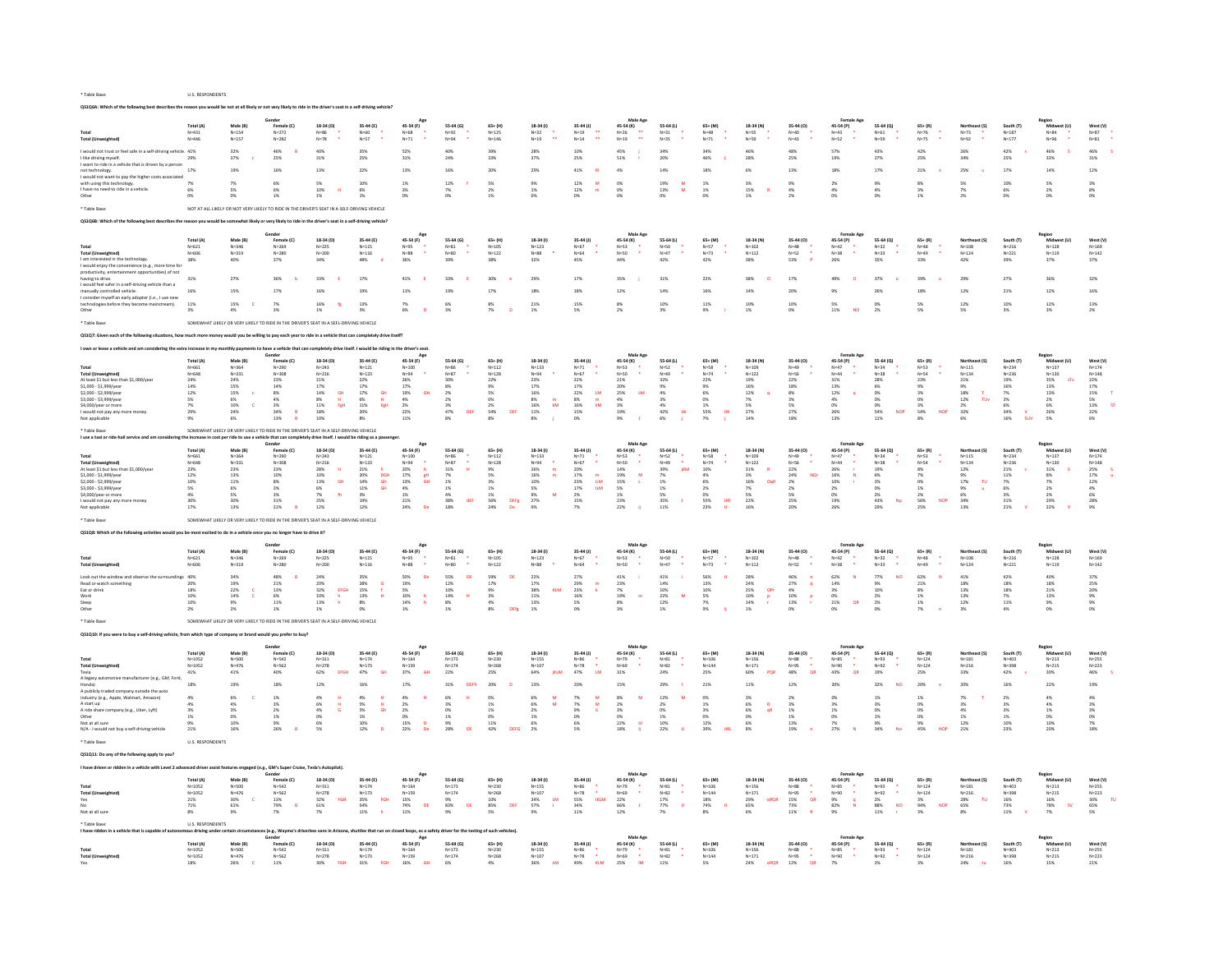|                                                                                                                                                                 | Total (A                                                                                                                                                                                                                                                                                                                                                                                                                                                         | Male (B)                  | Female (C)                                                                                  | 18-34 (D)                                                         | 35-44 (E)                                 | 45-54 (F)                                  | 55-64 (G)                                 | $65+$ (H)                                          | 18-34 (1)                                                            | 35-44 (J)                            | 45-54 (K)<br>$\ddot{\phantom{1}}$         | 55-64 (L)             | 65+ (M)                   | 18-34 (N)                | 35-44 (O)                    | 45-54 (P)                                   | 55-64 (Q)                            | $65 + (R)$              | Northanet (C)                    | South (T               | Mich<br>ort fill                            | West (V)                                    |
|-----------------------------------------------------------------------------------------------------------------------------------------------------------------|------------------------------------------------------------------------------------------------------------------------------------------------------------------------------------------------------------------------------------------------------------------------------------------------------------------------------------------------------------------------------------------------------------------------------------------------------------------|---------------------------|---------------------------------------------------------------------------------------------|-------------------------------------------------------------------|-------------------------------------------|--------------------------------------------|-------------------------------------------|----------------------------------------------------|----------------------------------------------------------------------|--------------------------------------|-------------------------------------------|-----------------------|---------------------------|--------------------------|------------------------------|---------------------------------------------|--------------------------------------|-------------------------|----------------------------------|------------------------|---------------------------------------------|---------------------------------------------|
| <b>Total (Unweighted)</b>                                                                                                                                       | $V = 431$<br>$N = 446$                                                                                                                                                                                                                                                                                                                                                                                                                                           | $N = 154$<br>$N = 157$    | $N = 272$<br>$N = 282$                                                                      | $4 = 86$<br>$N = 78$                                              | $N = 57$                                  | $N = 68$<br>$N=71$                         | $4 = 92$<br>$N = 94$                      | $N = 125$<br>$N = 146$                             | $N=32$<br>$N = 19$                                                   | $N=19$<br>$N=14$                     | $N=26$<br>$N=19$                          | $4 = 31$<br>$N=35$    | $N=71$                    | $N = 55$<br>$N = 59$     | $N = 43$                     | $N = 43$<br>$N = 52$                        | $N = 61$<br>$N = 59$                 | $4 = 76$<br>$N = 75$    | $N=73$<br>$N = 92$               | $N = 187$<br>$N = 177$ | N=84<br>$N = 96$                            | $N = 81$                                    |
|                                                                                                                                                                 |                                                                                                                                                                                                                                                                                                                                                                                                                                                                  |                           |                                                                                             |                                                                   |                                           |                                            |                                           |                                                    |                                                                      |                                      |                                           |                       |                           |                          |                              |                                             |                                      |                         |                                  |                        |                                             |                                             |
| I would not trust or feel safe in a self-driving vehicle. 41%<br>I like driving myself.                                                                         | 29%                                                                                                                                                                                                                                                                                                                                                                                                                                                              | 32%<br>37%                | 46%<br>25%                                                                                  | 40%<br>31%                                                        | 35%<br>25%                                | 52%<br>$31\%$                              | 40%<br>24%                                | 39%<br>33%                                         | 28%<br>37%                                                           | 10%<br>25%                           | 45%<br>51%                                | 34%                   | 34%<br>46%                | 46%<br>28%               | 48%<br>25%                   | 57%<br>19%                                  | 43%<br>27%                           | 42%<br>25%              | 26%<br>34%                       | 42%<br>25%             | 46%<br>33%                                  | 46%<br>$31\%$                               |
| I want to ride in a vehicle that is driven by a person                                                                                                          |                                                                                                                                                                                                                                                                                                                                                                                                                                                                  |                           |                                                                                             |                                                                   |                                           |                                            |                                           |                                                    |                                                                      |                                      |                                           | 20%                   |                           |                          |                              |                                             |                                      |                         |                                  |                        |                                             |                                             |
| not technology.<br>I would not want to pay the higher costs associated                                                                                          | 17%                                                                                                                                                                                                                                                                                                                                                                                                                                                              | 19%                       | 16%                                                                                         | 13%                                                               | 22%                                       | 13%                                        | 16%                                       | 20%                                                | 25%                                                                  | 41%                                  | 4%                                        | 14%                   | 18%                       | 6%                       | 13%                          | 18%                                         | 17%                                  | 21%                     | 25%                              | 17%                    | 14%                                         | 12%                                         |
| with using this technology.                                                                                                                                     | 7%                                                                                                                                                                                                                                                                                                                                                                                                                                                               |                           | 6%                                                                                          |                                                                   | 10%                                       | 1%                                         | 12%                                       | 5%                                                 | 9%                                                                   | 12%                                  | 0%                                        | $19\%$                | 1%                        | $3\%$                    |                              | 2%                                          | 9%                                   | 8%                      | 5%                               | 10%                    | $5\%$                                       | 3%                                          |
| I have no need to ride in a vehicle                                                                                                                             | 6%                                                                                                                                                                                                                                                                                                                                                                                                                                                               | <b>CM</b>                 | 6%                                                                                          | 10%                                                               | 6%                                        | 3%                                         | 7%                                        | 2%                                                 | 1%                                                                   | 12%                                  | 0%                                        | 13%<br>M              | 1%                        | 15%                      | 4%                           | 4%                                          | 4%                                   | 3%                      | 7%                               | 6%                     | 2%                                          | 8%                                          |
| Other                                                                                                                                                           | 0%                                                                                                                                                                                                                                                                                                                                                                                                                                                               | ON                        | 1%                                                                                          | 1%                                                                | 1%                                        | 0%                                         | ON                                        | 1%                                                 | 0%                                                                   | O%                                   | 0%                                        | 0%                    |                           | 1%                       | 2%                           | 0%                                          | 0%                                   | 1%                      | 2%                               | 0%                     | 0%                                          | 0%                                          |
| * Table Base:                                                                                                                                                   |                                                                                                                                                                                                                                                                                                                                                                                                                                                                  |                           | NOT AT ALL LIKELY OR NOT VERY LIKELY TO RIDE IN THE DRIVER'S SEAT IN A SELF-DRIVING VEHICLE |                                                                   |                                           |                                            |                                           |                                                    |                                                                      |                                      |                                           |                       |                           |                          |                              |                                             |                                      |                         |                                  |                        |                                             |                                             |
| Q\$1Q6B: Which of the following best describes the reason you would be somewhat likely or very likely to ride in the driver's seat in a self-driving vehicle?   |                                                                                                                                                                                                                                                                                                                                                                                                                                                                  |                           |                                                                                             |                                                                   |                                           |                                            |                                           |                                                    |                                                                      |                                      |                                           |                       |                           |                          |                              |                                             |                                      |                         |                                  |                        |                                             |                                             |
|                                                                                                                                                                 |                                                                                                                                                                                                                                                                                                                                                                                                                                                                  |                           |                                                                                             |                                                                   |                                           |                                            |                                           |                                                    |                                                                      |                                      |                                           |                       |                           |                          |                              |                                             |                                      |                         |                                  |                        |                                             |                                             |
|                                                                                                                                                                 | Total (A)                                                                                                                                                                                                                                                                                                                                                                                                                                                        | Male (B)                  | Gender<br>Female (C)                                                                        | 18-34 (D)                                                         | 35-44 (E)                                 | Ago                                        | 55-64 (G)                                 | $65+$ (H)                                          | 18-34 (1)                                                            | 35-44 (J)                            | Male App                                  | 55-64 (L)             | 65+ (M)                   | 18-34 (N)                | 35-44 (0)                    | <b>Female Age</b>                           | 55-64 (0)                            | $65 + (R)$              | Northeast (9                     | South (T)              | Region<br>Midwest (U)                       | West (V)                                    |
|                                                                                                                                                                 | $N = 621$                                                                                                                                                                                                                                                                                                                                                                                                                                                        | $N = 346$                 | $N = 269$                                                                                   | $N = 225$                                                         | $N = 115$                                 | 45-54 (F)<br>$N = 95$                      | $N=81$                                    | $N = 105$                                          | $N = 123$                                                            | $N = 67$                             | 45-54 (K)<br>$N = 53$                     | $N=50$                | $N = 57$                  | $N = 102$                | $N = 48$                     | 45-54 (P)<br>$N=42$                         | $N = 32$                             | $N = 48$                | $N = 108$                        | $N = 216$              | $N = 128$                                   | $N = 169$                                   |
| Total (Unw                                                                                                                                                      | $N = 606$                                                                                                                                                                                                                                                                                                                                                                                                                                                        | $N = 319$                 | $N = 280$                                                                                   | $N = 200$                                                         | $N = 116$                                 | $N = 88$                                   | $N = 80$                                  | $N = 122$                                          | $N=88$                                                               | $N = 64$                             | $N = 50$                                  | $N = 47$              | $N = 73$                  | $N = 112$                | $N=52$                       | $N = 38$                                    | $N = 33$                             | $N = 49$                | $N = 124$                        | $N = 221$              | $N = 119$                                   | $N = 142$                                   |
| I am interested in the technology.                                                                                                                              | 38%                                                                                                                                                                                                                                                                                                                                                                                                                                                              | 40%                       | 37%                                                                                         | 34%                                                               | 48%                                       | 36%                                        | 39%                                       | 38%                                                | 32%                                                                  | 45%                                  | 44%                                       | 42%                   | 42%                       | 38%                      | 53%                          | 26%                                         | 35%                                  | 33%                     | 42%                              | 39%                    | 37%                                         | 37%                                         |
| I would enjoy the convenience (e.g., more time fo<br>productivity, entertainment opportunities) of not                                                          |                                                                                                                                                                                                                                                                                                                                                                                                                                                                  |                           |                                                                                             |                                                                   |                                           |                                            |                                           |                                                    |                                                                      |                                      |                                           |                       |                           |                          |                              |                                             |                                      |                         |                                  |                        |                                             |                                             |
| having to drive                                                                                                                                                 | 31%                                                                                                                                                                                                                                                                                                                                                                                                                                                              |                           |                                                                                             | 33%                                                               | 17%                                       | 41%                                        | 33)                                       | 30%                                                | 29%                                                                  | 17%                                  | 35%                                       | 31%                   | 22%                       | 38%                      | 17%                          |                                             | 37%                                  |                         | 29%                              | 27%                    | 36%                                         | 32%                                         |
| I would feel safer in a self-driving vehicle than a<br>manually controlled vehicle.                                                                             | 16%                                                                                                                                                                                                                                                                                                                                                                                                                                                              |                           | 17%                                                                                         |                                                                   | 19)                                       | 119                                        |                                           | 17%                                                | 18%                                                                  | 18%                                  |                                           | 14%                   |                           |                          | 20%                          |                                             |                                      |                         | 12%                              | 21%                    | 12%                                         | 16%                                         |
| I consider myself an early adopter (i.e., I use new                                                                                                             |                                                                                                                                                                                                                                                                                                                                                                                                                                                                  |                           |                                                                                             |                                                                   |                                           |                                            |                                           |                                                    |                                                                      |                                      |                                           |                       |                           |                          |                              |                                             |                                      |                         |                                  |                        |                                             |                                             |
| technologies before they become mainstream).                                                                                                                    | 11%                                                                                                                                                                                                                                                                                                                                                                                                                                                              | 15%                       |                                                                                             | 16%                                                               | 13%                                       |                                            | 6%                                        | $\overline{p}$                                     | 21%                                                                  | 15%                                  | 8%                                        | 10%                   | 11%                       | 10%                      | 10%                          | 5%                                          |                                      | 5%                      | 12%                              | 10%                    | 12%                                         | 13%                                         |
| Other                                                                                                                                                           |                                                                                                                                                                                                                                                                                                                                                                                                                                                                  | 4%                        |                                                                                             | 1%                                                                | 3%                                        | 6%                                         | 3%                                        |                                                    | 1%                                                                   | 5%                                   | 2%                                        | 3%                    | 9%                        | 1%                       | 0%                           | 11%<br><b>NO</b>                            | 2%                                   | 5%                      | 5%                               |                        | 3%                                          | 2%                                          |
| * Table Rase                                                                                                                                                    |                                                                                                                                                                                                                                                                                                                                                                                                                                                                  |                           | SOMEWHAT LIKELY OR VERY LIKELY TO RIDE IN THE DRIVER'S SEAT IN A SEFL-DRIVING VEHICLE       |                                                                   |                                           |                                            |                                           |                                                    |                                                                      |                                      |                                           |                       |                           |                          |                              |                                             |                                      |                         |                                  |                        |                                             |                                             |
| Q\$1Q7: Given each of the following situations, how much more money would you be willing to pay each year to ride in a vehicle that can completely drive itself |                                                                                                                                                                                                                                                                                                                                                                                                                                                                  |                           |                                                                                             |                                                                   |                                           |                                            |                                           |                                                    |                                                                      |                                      |                                           |                       |                           |                          |                              |                                             |                                      |                         |                                  |                        |                                             |                                             |
|                                                                                                                                                                 |                                                                                                                                                                                                                                                                                                                                                                                                                                                                  |                           |                                                                                             |                                                                   |                                           |                                            |                                           |                                                    |                                                                      |                                      |                                           |                       |                           |                          |                              |                                             |                                      |                         |                                  |                        |                                             |                                             |
|                                                                                                                                                                 | own or lease a vehicle and am considering the extra increase in my monthly of<br>have a vehicle that can completely drive itself. I would be riding in the driver's seat.<br>Gender<br>Age<br>Region<br>Total (A)<br>Male (R)<br>Female (C)<br>18-34 (D)<br>35-44 (F)<br>45-54 (F)<br>55.64 (6)<br>18-34 (1)<br>35-44 (1)<br>45-54 (K)<br>55.64 (1)<br>65+ (M)<br>18-34 (N)<br>35-44 (0)<br>45-54 (P)<br>55-64 (0)<br>$65 + (R)$<br>South (T)<br>Mich<br>65+ (H) |                           |                                                                                             |                                                                   |                                           |                                            |                                           |                                                    |                                                                      |                                      |                                           |                       |                           |                          |                              |                                             |                                      |                         |                                  |                        |                                             |                                             |
|                                                                                                                                                                 |                                                                                                                                                                                                                                                                                                                                                                                                                                                                  |                           |                                                                                             |                                                                   |                                           |                                            |                                           |                                                    |                                                                      |                                      |                                           |                       |                           |                          |                              |                                             |                                      |                         |                                  |                        |                                             | West (V)                                    |
|                                                                                                                                                                 | $N = 661$                                                                                                                                                                                                                                                                                                                                                                                                                                                        | $N = 364$                 | $N = 290$                                                                                   | $N = 243$                                                         | $N = 121$                                 | $N = 100$                                  | $N = 86$                                  | $N = 112$                                          | $N = 133$                                                            | $N=71$                               | $N = 53$                                  | $N=52$                | $N = 58$                  | $N = 109$                | $N = 49$                     | $N = 47$                                    | $N = 34$                             | $N = 53$                | $N = 115$                        | $N = 234$              | $N = 137$                                   | $N = 174$                                   |
| <b>Total (Unweighted)</b>                                                                                                                                       | N=648                                                                                                                                                                                                                                                                                                                                                                                                                                                            | $N = 331$                 | $N = 308$                                                                                   | $N = 216$                                                         | $N = 123$                                 | $N = 94$                                   | $N=87$                                    | $N = 128$                                          | $N = 94$                                                             | $N = 67$                             | $N = 50$                                  | $N = 49$              | $N = 74$                  | $N = 122$                | $N = 56$                     | $N = 44$                                    | $N = 38$                             | $N = 54$                | $N = 134$                        | $N = 236$              | $N = 130$                                   | $N = 148$                                   |
| At least \$1 but less than \$1,000/year                                                                                                                         | 24%                                                                                                                                                                                                                                                                                                                                                                                                                                                              | 24%                       | 23%                                                                                         | 21%                                                               | 22%                                       | 26%                                        | 30%                                       | 22%                                                | 23%                                                                  | 22%                                  | 21%                                       | 32%                   | 22%                       | 19%                      | 22%                          | 31%                                         | 28%                                  | 23%                     | 21%                              | 19%<br>16%             | 35%<br>sTv                                  | 22%                                         |
| \$1,000 - \$1,999/year<br>\$2,000 - \$2,999/year                                                                                                                | $\begin{array}{l} 14\% \\ 12\% \end{array}$                                                                                                                                                                                                                                                                                                                                                                                                                      | 15%<br>15%                | $\frac{14\%}{8\%}$                                                                          | $\frac{17\%}{14\%}$<br>GH                                         | $\frac{17\%}{17\%}$<br>GH                 | $\frac{17\%}{19\%}$<br>GH                  | $\begin{array}{l} 8\% \\ 2\% \end{array}$ | 9%<br>5%                                           | $\frac{17\%}{16\%}$                                                  | 17%<br>22%<br>$\mathsf{LM}$          | 20%<br>25%<br><b>LM</b>                   | 9%<br>4%              | 9%<br>6%                  | $\frac{16\%}{12\%}$      | $\frac{18\%}{8\%}$           | $\begin{array}{l} 13\% \\ 12\% \end{array}$ | 6%<br>0%                             | 9%<br>3%                | $\frac{9\%}{18\%}$               | 7%                     | $\begin{array}{l} 13\% \\ 13\% \end{array}$ | $\begin{array}{l} 17\% \\ 15\% \end{array}$ |
| \$3,000 - \$3,999/yea<br>\$4,000/year or more                                                                                                                   | $5\%$                                                                                                                                                                                                                                                                                                                                                                                                                                                            | 6%<br>$\mathbf{c}$<br>10% | 4%                                                                                          | $\begin{array}{l} 8\% \\ 11\% \end{array}$<br>$\mathbf{H}$<br>FgH | $\frac{6\%}{11\%}$<br>$\mathbf{H}$<br>FgH | $\frac{4\%}{2\%}$                          | $\frac{2\%}{3\%}$                         | 0%<br>2%                                           | $\begin{array}{l} 8\% \\ 16\% \end{array}$<br>$\mathbf{k}\mathbf{M}$ | $\frac{8\%}{16\%}$<br>$\frac{m}{kM}$ | $\begin{array}{l} 4\% \\ 3\% \end{array}$ | $3\%$ 4%              | 0%                        | 7%                       | 3%                           | 4%<br>0%                                    | $_{0\%}^{0\%}$                       | $\frac{0\%}{3\%}$       | $12\%$<br>$T_{UV}$               | $3\%$<br>6%            | $\begin{array}{l} 2\% \\ 6\% \end{array}$   | 5%<br>13%<br><b>s</b>                       |
| I would not pay any more n                                                                                                                                      | 7%<br>29%                                                                                                                                                                                                                                                                                                                                                                                                                                                        | 24%                       | 3%<br>34%<br>$\overline{R}$                                                                 | $18\%$                                                            | 20%                                       | 22%                                        | 47%<br>DEF                                | 54%<br>DER                                         | $11\%$                                                               | 15%                                  | 19%                                       | $42\%$                | 1%<br>55%<br>$\mathbf{u}$ | 5%<br>27%                | 5%<br>27%                    | 26%                                         | 54%<br><b>NOP</b>                    | 54%<br><b>NOP</b>       | 2%<br>32%                        | 34%                    | 26%                                         | 22%                                         |
| Not applicable                                                                                                                                                  | 9%                                                                                                                                                                                                                                                                                                                                                                                                                                                               | 6%                        | 13%                                                                                         | 10%                                                               | 8%                                        | 11%                                        | $8\%$                                     | 8%                                                 | $8\%$                                                                | 0%                                   | 9%                                        | 6%                    | 7%                        | 14%                      | 18%                          | 13%                                         | 11%                                  | 8%                      | 6%                               | 16%<br><b>SUV</b>      | 5%                                          | 6%                                          |
| * Table Base:                                                                                                                                                   |                                                                                                                                                                                                                                                                                                                                                                                                                                                                  |                           | SOMEWHAT LIKELY OR VERY LIKELY TO RIDE IN THE DRIVER'S SEAT IN A SELF-DRIVING VEHICLE       |                                                                   |                                           |                                            |                                           |                                                    |                                                                      |                                      |                                           |                       |                           |                          |                              |                                             |                                      |                         |                                  |                        |                                             |                                             |
| I use a taxi or ride-hall service and am co                                                                                                                     |                                                                                                                                                                                                                                                                                                                                                                                                                                                                  |                           | e increase in cost per ride to use a vehicle that can compl                                 | tely drive itself. I would be riding as a pa                      |                                           |                                            |                                           |                                                    |                                                                      |                                      |                                           |                       |                           |                          |                              |                                             |                                      |                         |                                  |                        |                                             |                                             |
|                                                                                                                                                                 | Total (A)                                                                                                                                                                                                                                                                                                                                                                                                                                                        |                           | Gender<br>Female (C)                                                                        | 18-34 (D)                                                         | 35-44 (E)                                 | 45-54 (F)                                  | 55-64 (G)                                 | $65+$ (H                                           | 18-34 (1)                                                            | 35-44 (J)                            | Male Ap<br>45-54 (K)                      | 55-64 (L)             | 65+ (M)                   | 18-34 (N)                | 35-44 (0)                    | Female Am<br>45-54 (P)                      | 55-64 (Q)                            | $65 + (R)$              | Northeast (S)                    | South (T)              | Region<br>Midi                              | West (V)                                    |
| Total                                                                                                                                                           | $N = 661$                                                                                                                                                                                                                                                                                                                                                                                                                                                        | $N = 364$                 | $N = 290$                                                                                   | $N = 243$                                                         | $N = 121$                                 | $N = 100$                                  | $N = 86$                                  | $N = 112$                                          | $N = 133$                                                            | $N = 71$                             | $N = 53$                                  | $N = 52$              | $N = 58$                  | $N = 109$                | $N = 49$                     | $N=47$                                      | $N = 34$                             | $N = 53$                | $N = 115$                        | $N = 234$              | $N = 137$                                   | $N = 174$                                   |
| <b>Total (Unweighted)</b>                                                                                                                                       | N=648                                                                                                                                                                                                                                                                                                                                                                                                                                                            | N=331                     | $N = 308$                                                                                   | $N = 216$                                                         | $N = 123$                                 | $N = 94$                                   | $N = 87$                                  | $N = 128$                                          | $N = 94$                                                             | $N=67$                               | $\bullet$<br>$N = 50$                     | $N = 49$              | $N = 74$                  | $N = 122$                | N=56                         | $N = 44$                                    | $N=38$                               | $N = 54$                | $N = 134$                        | N=236                  | $N = 130$                                   | $N = 148$                                   |
| At least \$1 but less than \$1,000/yea<br>\$1,000 - \$1,999/year                                                                                                | 23%<br>12%                                                                                                                                                                                                                                                                                                                                                                                                                                                       | 23%<br>13%                | 23%<br>10%                                                                                  | 28%<br>10%                                                        | 21%<br><b>20%</b><br>DGH                  | 20%<br>h<br>$17\%$<br>gH                   | 31%<br>$\mathbf{H}$<br>$7\%$              | 9%<br>5%                                           | 26%<br>m<br>16%<br>$\,$ m $\,$                                       | 20%<br>$17\%$                        | 14%<br>19%<br>м                           | 39%<br>KM<br>$7\%$    | 10%<br>4%                 | 31%<br>3%                | 22%<br>24%<br>NQr            | 26%<br>16%                                  | 19%<br>6%                            | 8%<br>7%                | 12%<br>9%                        | 21%<br>$11\%$          | 31%<br>$8\%$                                | 25%<br>$17\%$                               |
| \$2.000 - \$2.999/yea                                                                                                                                           | 10%                                                                                                                                                                                                                                                                                                                                                                                                                                                              | 11%                       | 8%                                                                                          | 13%<br><b>GH</b>                                                  | 14%<br><b>GH</b>                          | 13%<br><b>GH</b>                           | 1%                                        | 3%                                                 | 10%                                                                  | 23%<br><b>ILM</b>                    | 15%                                       | 1%                    | 6%                        | 16%<br>OoR               | 2%                           | 10%                                         | 2%                                   | 0%                      | 17%<br>TU                        | 7%                     | 7%                                          | 12%                                         |
| \$3,000 - \$3,999/yea                                                                                                                                           | 5%<br>4%                                                                                                                                                                                                                                                                                                                                                                                                                                                         | 6%<br>5%                  | $3\%$                                                                                       | 6%<br>7 <sub>0</sub><br>$\mathbf{f}$                              | <b>GH</b><br>$11\%$                       | $4\%$                                      | $1\%$                                     | 1%                                                 | $5\%$<br>M                                                           | 17%<br><b>ILM</b>                    | $5\%$                                     | $1\%$                 | 2%<br>n%                  | $7\%$<br>S%              | $2\%$<br>5%                  | $2\%$                                       | 0%                                   | 1%                      | $9\%$<br>u<br><b>AV</b>          | 6%                     | 2%                                          | $4\%$                                       |
| \$4,000/year or more<br>I would not pay any more money                                                                                                          |                                                                                                                                                                                                                                                                                                                                                                                                                                                                  | 30)                       | 3%<br>31%                                                                                   | 25%                                                               | $\frac{3\%}{19\%}$                        | $\begin{array}{l} 1\% \\ 21\% \end{array}$ | $\frac{4\%}{38\%}$<br>dEF                 | $\begin{array}{l} 1\% \\ 56\% \end{array}$<br>DEFg | 9%<br>27%                                                            | 2%<br>15%                            | $\frac{1\%}{23\%}$                        | $\frac{5\%}{35\%}$    | 55%<br>$_{\rm HKl}$       | 22%                      | 25%                          | 0%<br>$\frac{19}{19}$                       | 2%<br>43%<br>Np                      | 2%<br>56%<br><b>NOP</b> | 34%                              | $\frac{3\%}{31\%}$     | $\begin{array}{l} 2\% \\ 29\% \end{array}$  | 6%<br>28%                                   |
| Not applicable                                                                                                                                                  | 17%                                                                                                                                                                                                                                                                                                                                                                                                                                                              | 13%                       | 21%<br>B                                                                                    | 12%                                                               | 12%                                       | 24%<br>De                                  | 18%                                       | 24%<br>De                                          | 9%                                                                   | 7%                                   | 22%                                       | 11%                   | 23%                       | 16%                      | 20%                          | 26%                                         | 29%                                  | 25%                     | 13%                              | 21%                    | 22%                                         | 9%                                          |
| Table Rase                                                                                                                                                      |                                                                                                                                                                                                                                                                                                                                                                                                                                                                  |                           |                                                                                             |                                                                   |                                           |                                            |                                           |                                                    |                                                                      |                                      |                                           |                       |                           |                          |                              |                                             |                                      |                         |                                  |                        |                                             |                                             |
|                                                                                                                                                                 |                                                                                                                                                                                                                                                                                                                                                                                                                                                                  |                           |                                                                                             |                                                                   |                                           |                                            |                                           |                                                    |                                                                      |                                      |                                           |                       |                           |                          |                              |                                             |                                      |                         |                                  |                        |                                             |                                             |
|                                                                                                                                                                 | SOMEWHAT LIKELY OR VERY LIKELY TO RIDE IN THE DRIVER'S SEAT IN A SELF-DRIVING VEHICLE<br>Q\$1Q8: Which of the following activities would you be most excited to do in a vehicle once you no longer have to drive it?                                                                                                                                                                                                                                             |                           |                                                                                             |                                                                   |                                           |                                            |                                           |                                                    |                                                                      |                                      |                                           |                       |                           |                          |                              |                                             |                                      |                         |                                  |                        |                                             |                                             |
|                                                                                                                                                                 |                                                                                                                                                                                                                                                                                                                                                                                                                                                                  |                           |                                                                                             |                                                                   |                                           |                                            |                                           |                                                    |                                                                      |                                      | Male Ago                                  |                       |                           |                          |                              |                                             |                                      |                         |                                  |                        | Region<br>Midw.                             |                                             |
|                                                                                                                                                                 | Total (A)                                                                                                                                                                                                                                                                                                                                                                                                                                                        | Male (B)                  | Female (C)                                                                                  | 18-34 (D)                                                         | 35-44 (E)                                 | 45-54 (F)                                  | 55-64 (G)                                 | $65 + (H)$                                         | 18-34 (1)                                                            | 35-44 (J)                            | 45-54 (K)                                 | 55-64 (L)             | 65+ (M)                   | 18-34 (N)                | 35-44 (0)                    | 45-54 (P)                                   | 55-64 (Q)                            | $65 + (R)$              | Northeast (S)                    | South (T)              | vest (U)                                    | West (V)                                    |
| Total<br><b>Total (Unweighted)</b>                                                                                                                              | $N = 621$<br>$N = 606$                                                                                                                                                                                                                                                                                                                                                                                                                                           | $N = 346$<br>$N = 319$    | $N = 269$<br>$N = 280$                                                                      | $N = 225$<br>$N = 200$                                            | $N = 115$<br>$N = 116$                    | $N = 95$<br>$N = 88$                       | $N = 81$<br>$N=80$                        | $N = 105$<br>$N = 122$                             | $N = 123$<br>$N = 88$                                                | $N = 67$<br>$N = 64$                 | $N = 53$<br>$N = 50$                      | $N = 50$<br>$N = 47$  | $N = 57$<br>$N = 73$      | $N = 102$<br>$N = 112$   | $N = 48$<br>$N=52$           | $N = 42$<br>$N = 38$                        | $N = 32$<br>$N=33$                   | $N = 48$<br>$N = 49$    | $N = 10R$<br>$N = 124$           | $N = 216$<br>$N = 221$ | $N=1.28$<br>$N = 119$                       | $N = 169$<br>$N = 142$                      |
|                                                                                                                                                                 |                                                                                                                                                                                                                                                                                                                                                                                                                                                                  |                           |                                                                                             |                                                                   |                                           |                                            |                                           |                                                    |                                                                      |                                      |                                           |                       |                           |                          |                              |                                             |                                      |                         |                                  |                        |                                             |                                             |
| Look out the window and observe the sur                                                                                                                         | 40%                                                                                                                                                                                                                                                                                                                                                                                                                                                              | 34%                       | 48%                                                                                         | 24%                                                               | 35%                                       | 50%<br>De                                  | 55%<br>DE                                 | 59%<br>DE                                          | 22%                                                                  | 27%                                  | 41%                                       | 41%                   | 56%                       | 28%                      | 46%                          | 62%<br>$\overline{N}$                       | 77%<br><b>NO</b>                     | 62%                     | 41%                              | 42%                    | 40%                                         | 37%                                         |
| Read or watch so<br>Eat or drink                                                                                                                                | 20%<br>18%                                                                                                                                                                                                                                                                                                                                                                                                                                                       | 19%<br>22%                | 21%<br>13%                                                                                  | 20%<br><b>EFGH</b><br>32%                                         | <b>28%</b><br>15%                         | 19%                                        | 12%<br>10%                                | $17\%$<br>9%                                       | $17\%$<br>38%<br>KLM                                                 | 29%<br>23%                           | 23%<br>7%                                 | 14%<br>10%            | 13%<br>10%                | 24%<br>25%<br>OPr        | <b>27%</b><br><b>q</b><br>4% | 14%<br>3%                                   | 9%<br>10%                            | $21\%$<br>8%            | 18%<br>13%                       | 18%<br>18%             | 18%<br>21%                                  | <b>25%</b><br>20%                           |
| Work                                                                                                                                                            | 10%                                                                                                                                                                                                                                                                                                                                                                                                                                                              | 14%                       | 6%                                                                                          | 10%                                                               | 13%                                       | $\frac{5\%}{10\%}$<br>$\mathbf h$          | $14\%$<br>$\mathbf{H}$                    | $3\%$                                              | $11\%$                                                               | 16%                                  | 19%                                       | $22\%$<br>$\mathbf M$ | 5%                        | $10\%$<br>p              | 10%<br><b>P</b>              | 0%                                          | 2%                                   | 1%                      | 13%                              | 7%                     | 13%                                         | $9\%$                                       |
| Sleep                                                                                                                                                           | 10%<br>2%                                                                                                                                                                                                                                                                                                                                                                                                                                                        | 9%                        | 11%                                                                                         | 13%                                                               | $\frac{8\%}{0\%}$                         | 14%<br>$\mathbf{h}$<br>1%                  | $8\%$<br>1%                               | 4%<br>8%                                           | 13%<br>1%                                                            | 5%<br>O%                             | 8%                                        | 12%<br>$1\%$          | 7%                        | 14%                      | 13%                          | 21%<br>OR                                   | 2%                                   | 1%                      | 12%                              | 11%                    | $\frac{9\%}{0\%}$                           | 9%<br>0%                                    |
| Other                                                                                                                                                           |                                                                                                                                                                                                                                                                                                                                                                                                                                                                  |                           | 1%                                                                                          | $1\%$                                                             |                                           |                                            |                                           | DEfg                                               |                                                                      |                                      |                                           |                       |                           |                          |                              |                                             |                                      |                         |                                  |                        |                                             |                                             |
| * Table Base                                                                                                                                                    |                                                                                                                                                                                                                                                                                                                                                                                                                                                                  |                           | SOMEWHAT LIKLEY OR VERY LIKELY TO RIDE IN THE DRIVER'S SEAT IN A SELF-DRIVING VEHICLE       |                                                                   |                                           |                                            |                                           |                                                    |                                                                      |                                      |                                           |                       |                           |                          |                              |                                             |                                      |                         |                                  |                        |                                             |                                             |
| QS1Q10: If you were to buy a self-driving vehicle, from which type of company or bran                                                                           |                                                                                                                                                                                                                                                                                                                                                                                                                                                                  |                           |                                                                                             |                                                                   |                                           |                                            |                                           |                                                    |                                                                      |                                      |                                           |                       |                           |                          |                              |                                             |                                      |                         |                                  |                        |                                             |                                             |
|                                                                                                                                                                 |                                                                                                                                                                                                                                                                                                                                                                                                                                                                  |                           |                                                                                             |                                                                   |                                           |                                            |                                           |                                                    |                                                                      |                                      |                                           |                       |                           |                          |                              |                                             |                                      |                         |                                  |                        |                                             |                                             |
|                                                                                                                                                                 | Total (A)                                                                                                                                                                                                                                                                                                                                                                                                                                                        | Male (B)                  | Female (C)                                                                                  | 18-34 (D)                                                         | 35-44 (F)                                 | Age<br>45-54 (F)                           | 55.64 (6)                                 | 65+ (H)                                            | 18-34 (1)                                                            | 35-44 (1)                            | Male Age<br>45-54 (K)                     | 55.64 (1)             | 65+ (M)                   | 18-34 (N)                | 35-44 (0)                    | 45-54 (P)                                   | 55-64 (0)                            | $65 + (R)$              | Northeast (S)                    | South (T)              | Region<br>Midwest (U)                       | West (V)                                    |
|                                                                                                                                                                 | $N = 1052$                                                                                                                                                                                                                                                                                                                                                                                                                                                       | $N = 500$                 | $N = 542$                                                                                   | N=311                                                             | $N = 174$                                 | $\mathsf{N}{=}164$                         | $N = 173$                                 | $N = 230$                                          | $N=155$                                                              | $N=86$                               | $N=79$                                    | $N = 81$              | $N = 106$                 | $N = 156$                | $N = 88$                     | $N = 85$                                    | $N = 93$                             | $N = 124$               | $N = 181$                        | $N = 403$              | $N = 213$                                   | $N = 255$                                   |
| <b>Total (Unweighted)</b>                                                                                                                                       | $N = 1052$                                                                                                                                                                                                                                                                                                                                                                                                                                                       | $N = 476$                 | $N = 562$                                                                                   | $N = 278$                                                         | $N = 173$                                 | $N = 159$                                  | $N = 174$                                 | $N = 268$                                          | $N = 107$                                                            | $N = 78$                             | $N = 69$                                  | $N = 82$              | $N = 144$                 | $N = 171$                | $N = 95$                     | $N = 90$                                    | $N = 92$                             | $N = 124$               | $N = 216$                        | $N = 398$              | $N = 215$                                   | $N = 223$                                   |
| Tesla<br>A legacy automotive manufacturer (e.g., GM, Ford,                                                                                                      | 41%                                                                                                                                                                                                                                                                                                                                                                                                                                                              | 41%                       | 40%                                                                                         | 62%<br>EFGI                                                       | 47%                                       | 37%                                        | 22%                                       | 25%                                                | 64%                                                                  | 47%<br><b>LM</b>                     | 31%                                       | 24%                   | 25%                       | 60%                      | 48%                          | 43%<br>QR                                   | 19%                                  | 25%                     | 33%                              | $42\%$                 | 39%                                         | 46%                                         |
| Honda)                                                                                                                                                          | 18%                                                                                                                                                                                                                                                                                                                                                                                                                                                              | 19%                       | 18%                                                                                         | 12%                                                               | 16%                                       | 17%                                        | 31%                                       | 20%                                                | 13%                                                                  | 20%                                  | 15%                                       | 29%                   | 21%                       | 11%                      | 12%                          | 20%                                         | 32%                                  | 20%                     | 20%                              | 16%                    | 22%                                         | 19%                                         |
| A publicly traded company outside the auto<br>industry (e.g., Apple, Walmart, Amazon)                                                                           |                                                                                                                                                                                                                                                                                                                                                                                                                                                                  |                           |                                                                                             |                                                                   |                                           |                                            |                                           |                                                    |                                                                      |                                      |                                           |                       |                           |                          |                              |                                             |                                      |                         |                                  |                        |                                             |                                             |
| A start up                                                                                                                                                      | 4%<br>4%                                                                                                                                                                                                                                                                                                                                                                                                                                                         | 6%                        | 1%<br>3%                                                                                    | $4\%$                                                             | 4%                                        | 4%                                         | 6%                                        | 0%<br>1%                                           | 6%<br>M<br>$6\%$                                                     | $7\%$<br>M<br>M                      | 8%                                        | 12%<br>$2\%$          | 0%<br>1%                  | 3%                       | 2%                           | 0%<br>3%                                    | 1%                                   | 1%                      | 7%<br>$\overline{a}$             | 2%                     | 4%<br>4%                                    | 4%                                          |
| A ride share company (e.g., Uber, Lyft)                                                                                                                         | 3%                                                                                                                                                                                                                                                                                                                                                                                                                                                               | 3%                        | 2%                                                                                          | 6%<br>4%                                                          | 5%<br>5%<br>$\ddot{g}h$                   | $\begin{array}{l} 2\% \\ 2\% \end{array}$  | 3%<br>0%                                  | 1%                                                 | 2%                                                                   | 7%<br>9%<br>iL.                      | $\frac{2\%}{3\%}$                         | O%                    | 3%                        | 6%<br>6%<br>qR           | $3\%$ 1%                     | 1%                                          | 3%<br>0%                             | 0%<br>0%                | 4%                               | 3%                     | $1\%$                                       | 3%<br>3%                                    |
| Other                                                                                                                                                           | 1%                                                                                                                                                                                                                                                                                                                                                                                                                                                               | n%                        | 1%                                                                                          | C <sub>N</sub>                                                    | 1%                                        | 0%<br>15%<br>$\mathbf{D}$                  | 1%                                        | n%<br>11%                                          | 1%                                                                   | ms                                   | n%<br>22%<br><b>ut</b>                    | 1%<br>10%             | n%                        | <b>ON</b>                | 1%<br>13%                    | 0%<br>7%                                    | 1%                                   | 0%                      | 1%<br>12%                        | 1%                     | n%<br>10%                                   | 0%<br>7%                                    |
| Not at all sure<br>N/A - I would not buy a self-driving vehicle                                                                                                 | 21%                                                                                                                                                                                                                                                                                                                                                                                                                                                              | 10%<br>16%                | 26%                                                                                         | 5%                                                                | 10%<br>12%                                | 22%                                        | 9%<br>28%                                 | 42%<br><b>DEEG</b>                                 | 2%                                                                   | 6%<br>¢K                             | 18%                                       | 22%                   | 12%<br>39%<br>ни          | 6%<br>8%                 | 19%                          | 27%                                         | 9%<br>34%                            | 9%<br>45%               | 21%                              | 10%<br>23%             | 20%                                         |                                             |
|                                                                                                                                                                 |                                                                                                                                                                                                                                                                                                                                                                                                                                                                  |                           |                                                                                             |                                                                   |                                           |                                            |                                           |                                                    |                                                                      |                                      |                                           |                       |                           |                          |                              |                                             |                                      |                         |                                  |                        |                                             |                                             |
| * Table Base                                                                                                                                                    | <b>U.S. RESPONDENTS</b>                                                                                                                                                                                                                                                                                                                                                                                                                                          |                           |                                                                                             |                                                                   |                                           |                                            |                                           |                                                    |                                                                      |                                      |                                           |                       |                           |                          |                              |                                             |                                      |                         |                                  |                        |                                             |                                             |
| QS1Q11: Do any of the following apply to you?                                                                                                                   |                                                                                                                                                                                                                                                                                                                                                                                                                                                                  |                           |                                                                                             |                                                                   |                                           |                                            |                                           |                                                    |                                                                      |                                      |                                           |                       |                           |                          |                              |                                             |                                      |                         |                                  |                        |                                             |                                             |
| I have driven or ridden in a vehicle with Level 2 ad                                                                                                            |                                                                                                                                                                                                                                                                                                                                                                                                                                                                  |                           | nced driver assist features engaged (e.g., GM's Super Cruise                                | Tesla's Autopilot                                                 |                                           |                                            |                                           |                                                    |                                                                      |                                      |                                           |                       |                           |                          |                              |                                             |                                      |                         |                                  |                        |                                             |                                             |
|                                                                                                                                                                 |                                                                                                                                                                                                                                                                                                                                                                                                                                                                  |                           | Gender                                                                                      |                                                                   |                                           |                                            |                                           |                                                    |                                                                      |                                      | Male Ap                                   |                       |                           |                          |                              |                                             |                                      |                         |                                  |                        | Region                                      |                                             |
|                                                                                                                                                                 | Total (A)                                                                                                                                                                                                                                                                                                                                                                                                                                                        | Male (B)                  | Female (C)                                                                                  | 18-34 (D)                                                         | 35-44 (E)                                 | 45-54 (F)                                  | 55-64 (G)                                 |                                                    | 18-34 (1)                                                            | 35-44 (J)                            | 45-54 (K)                                 | 55-64 (L)             | 65+ (M                    | 18-34 (N)                | 35-44 (O)                    | 45-54 (P)                                   | 55-64 (Q)                            | $65 + (R)$              |                                  |                        | -<br>Midi                                   | West (V)                                    |
| Total<br>Total (Un                                                                                                                                              | $N = 1052$<br>$N = 1052$                                                                                                                                                                                                                                                                                                                                                                                                                                         | $N = 500$<br>$N = 476$    | $N = 542$<br>$N = 562$                                                                      | $N = 311$<br>$N = 278$                                            | $N = 174$<br>$N = 173$                    | $N = 164$<br>$N = 159$                     | $N = 173$<br>$N = 174$                    | $N = 230$<br>$N = 268$                             | $N=155$<br>$N = 107$                                                 | $N = 86$<br>$N=78$<br>$\mathbf{r}$   | $N=79$<br>$N = 69$<br>$\epsilon$          | $N = 81$<br>$N=82$    | $N = 106$<br>$N = 144$    | $N = 156$<br>$N = 171$   | $N=88$<br>N=95<br>$\sim$     | $N = 85$<br>N=90                            | $N = 93$<br>$\mathbf{r}$<br>$N = 92$ | $N = 124$<br>$N = 124$  | $N = 181$<br>$N = 216$           | $N = 403$<br>N=398     | $N = 213$<br>$N = 215$                      | $N=255$<br>$N = 223$                        |
| Yes                                                                                                                                                             | 21%                                                                                                                                                                                                                                                                                                                                                                                                                                                              | 30%<br>$\mathbf{c}$       | 13%                                                                                         | FGH<br>32%                                                        | FGH<br>35%                                | 15%                                        | 9%                                        | 10%                                                | <b>LM</b><br>34%                                                     | <b>IKLM</b><br>55%                   | 22%                                       | 17%                   | 18%                       | 29%<br>oPOR              | QR                           | $\alpha$                                    | $2\%$                                | $3\%$                   | TU.<br>28%                       | 16%                    | 16%                                         | 30%<br>TU                                   |
|                                                                                                                                                                 | 71%                                                                                                                                                                                                                                                                                                                                                                                                                                                              | $61\%$                    | 79%<br>B                                                                                    | 61%                                                               | 54%                                       | 74%<br>DE                                  | 83%<br>DE                                 | $85\%$<br>DER                                      | $57\%$<br>- 1                                                        | 34%<br>11%                           | 66%<br>12%                                | $77\%$                | 74%<br>8%                 | 65%                      | $\frac{15\%}{73\%}$          | 9%<br>82%<br>9%                             | 88%<br>NO<br>11%                     | $94\%$<br><b>NOP</b>    | $65\%$                           | 73%<br>11%             | 78%<br>sv<br>7%                             | 65%                                         |
| Not at all sure                                                                                                                                                 | 8%                                                                                                                                                                                                                                                                                                                                                                                                                                                               | 9%                        | 7%                                                                                          | $7\%$                                                             | 11%                                       | 11%                                        | 9%                                        | 5%                                                 | 9%                                                                   |                                      |                                           | 7%                    |                           | $6\%$                    | 11%                          |                                             |                                      | 3%                      | $8\%$                            |                        |                                             | 5%                                          |
| * Table Base                                                                                                                                                    | <b>U.S. RESPONDENTS</b>                                                                                                                                                                                                                                                                                                                                                                                                                                          |                           |                                                                                             |                                                                   |                                           |                                            |                                           |                                                    |                                                                      |                                      |                                           |                       |                           |                          |                              |                                             |                                      |                         |                                  |                        |                                             |                                             |
| I have ridden in a vr                                                                                                                                           | ous driving under certain circ                                                                                                                                                                                                                                                                                                                                                                                                                                   |                           | s (e.g., Waymo'<br>Gende                                                                    |                                                                   |                                           | pops, as a sar<br>Age                      |                                           | f such vehicles                                    |                                                                      |                                      | Male Ap                                   |                       |                           |                          |                              | Female Ag                                   |                                      |                         |                                  |                        | Region                                      |                                             |
|                                                                                                                                                                 | Total (A)                                                                                                                                                                                                                                                                                                                                                                                                                                                        | Male (B)                  | Female (C)                                                                                  | 18-34 (D)                                                         | 35-44 (E)                                 | 45-54 (F)                                  | 55-64 (G)                                 | 65+ (H)                                            | 18-34 (1)                                                            | 35-44 (J)                            | 45-54 (K)                                 | 55-64 (L)             | 65+ (M)                   | 18-34 (N)                | 35-44 (0)                    | 45-54 (P)                                   | 55-64 (Q)                            | $65 + (R)$              | Northeast (S)                    | South (T)              | Mid.<br>vest (U)                            | West (V)                                    |
| Total                                                                                                                                                           | $N = 1052$                                                                                                                                                                                                                                                                                                                                                                                                                                                       | $N = 500$                 | $N = 542$                                                                                   | $N = 311$                                                         | $N = 174$                                 | $N = 164$                                  | $N = 173$                                 | $N = 230$                                          | $N = 155$                                                            | $N = 86$                             | $N = 79$                                  | $N = 81$              | $N = 106$                 | $N=156$                  | $N = 88$                     | N=85<br>N=90                                | $N = 92$                             | $N = 124$               | $N = 1.81$                       | $N = 402$              | $N = 213$                                   | $N = 255$                                   |
| <b>Total (Unweighted)</b><br>Yes                                                                                                                                | $N = 1052$<br>18%                                                                                                                                                                                                                                                                                                                                                                                                                                                | $N = 476$<br>$26\%$<br>×. | $N = 562$<br>$11\%$                                                                         | $N = 278$<br>$30\%$<br>FGH                                        | $N = 173$<br>31%<br>EGH                   | $N = 159$<br>16%<br><b>GH</b>              | $N = 174$<br>6%                           | $N = 268$<br>4%                                    | $N = 107$<br>36%<br><b>TM</b>                                        | $N=78$<br>49%<br><b>KLM</b>          | $N = 69$<br>25%<br><b>IM</b>              | $N = 82$<br>$11\%$    | $N = 144$<br>5%           | $N = 171$<br>24%<br>oPOR | $N = 95$<br>12%<br>OR        | 7%                                          | $N = 92$<br>$2\%$                    | $N = 124$<br>3%         | $N = 216$<br>24%<br><b>State</b> | $N = 398$<br>16%       | $N = 215$<br>15%                            | $N = 223$<br>21%                            |
|                                                                                                                                                                 |                                                                                                                                                                                                                                                                                                                                                                                                                                                                  |                           |                                                                                             |                                                                   |                                           |                                            |                                           |                                                    |                                                                      |                                      |                                           |                       |                           |                          |                              |                                             |                                      |                         |                                  |                        |                                             |                                             |

\* Table Base: U.S. RESPONDENTS

QS1Q6A: Which of the following best describes the reason you would be not at all likely or not very likely to ride in the driver's seat in a self-driving vehicle?